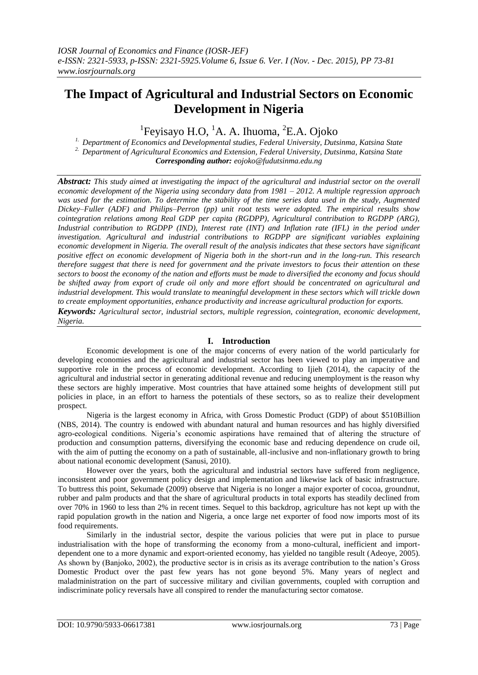# **The Impact of Agricultural and Industrial Sectors on Economic Development in Nigeria**

 ${}^{1}$ Feyisayo H.O,  ${}^{1}$ A. A. Ihuoma,  ${}^{2}$ E.A. Ojoko

*1. Department of Economics and Developmental studies, Federal University, Dutsinma, Katsina State 2. Department of Agricultural Economics and Extension, Federal University, Dutsinma, Katsina State Corresponding author: eojoko@fudutsinma.edu.ng*

*Abstract: This study aimed at investigating the impact of the agricultural and industrial sector on the overall economic development of the Nigeria using secondary data from 1981 – 2012. A multiple regression approach was used for the estimation. To determine the stability of the time series data used in the study, Augmented Dickey–Fuller (ADF) and Philips–Perron (pp) unit root tests were adopted. The empirical results show cointegration relations among Real GDP per capita (RGDPP), Agricultural contribution to RGDPP (ARG), Industrial contribution to RGDPP (IND), Interest rate (INT) and Inflation rate (IFL) in the period under investigation. Agricultural and industrial contributions to RGDPP are significant variables explaining economic development in Nigeria. The overall result of the analysis indicates that these sectors have significant positive effect on economic development of Nigeria both in the short-run and in the long-run. This research therefore suggest that there is need for government and the private investors to focus their attention on these sectors to boost the economy of the nation and efforts must be made to diversified the economy and focus should be shifted away from export of crude oil only and more effort should be concentrated on agricultural and industrial development. This would translate to meaningful development in these sectors which will trickle down to create employment opportunities, enhance productivity and increase agricultural production for exports. Keywords: Agricultural sector, industrial sectors, multiple regression, cointegration, economic development, Nigeria.*

# **I. Introduction**

Economic development is one of the major concerns of every nation of the world particularly for developing economies and the agricultural and industrial sector has been viewed to play an imperative and supportive role in the process of economic development. According to Ijieh (2014), the capacity of the agricultural and industrial sector in generating additional revenue and reducing unemployment is the reason why these sectors are highly imperative. Most countries that have attained some heights of development still put policies in place, in an effort to harness the potentials of these sectors, so as to realize their development prospect.

Nigeria is the largest economy in Africa, with Gross Domestic Product (GDP) of about \$510Billion (NBS, 2014). The country is endowed with abundant natural and human resources and has highly diversified agro-ecological conditions. Nigeria's economic aspirations have remained that of altering the structure of production and consumption patterns, diversifying the economic base and reducing dependence on crude oil, with the aim of putting the economy on a path of sustainable, all-inclusive and non-inflationary growth to bring about national economic development (Sanusi, 2010).

However over the years, both the agricultural and industrial sectors have suffered from negligence, inconsistent and poor government policy design and implementation and likewise lack of basic infrastructure. To buttress this point, Sekumade (2009) observe that Nigeria is no longer a major exporter of cocoa, groundnut, rubber and palm products and that the share of agricultural products in total exports has steadily declined from over 70% in 1960 to less than 2% in recent times. Sequel to this backdrop, agriculture has not kept up with the rapid population growth in the nation and Nigeria, a once large net exporter of food now imports most of its food requirements.

Similarly in the industrial sector, despite the various policies that were put in place to pursue industrialisation with the hope of transforming the economy from a mono-cultural, inefficient and importdependent one to a more dynamic and export-oriented economy, has yielded no tangible result (Adeoye, 2005). As shown by (Banjoko, 2002), the productive sector is in crisis as its average contribution to the nation's Gross Domestic Product over the past few years has not gone beyond 5%. Many years of neglect and maladministration on the part of successive military and civilian governments, coupled with corruption and indiscriminate policy reversals have all conspired to render the manufacturing sector comatose.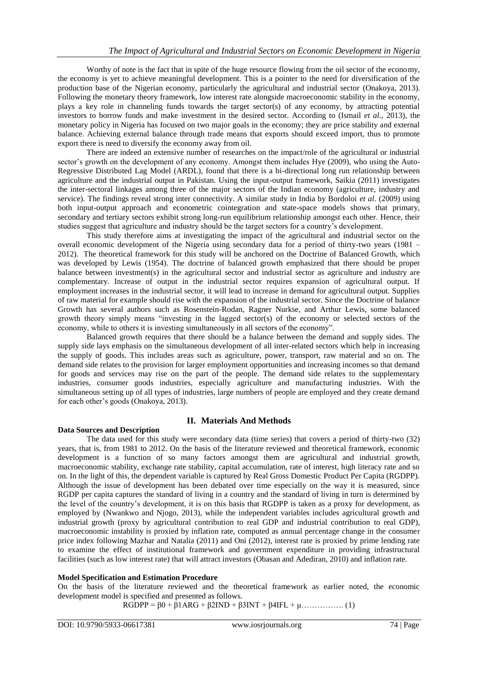Worthy of note is the fact that in spite of the huge resource flowing from the oil sector of the economy, the economy is yet to achieve meaningful development. This is a pointer to the need for diversification of the production base of the Nigerian economy, particularly the agricultural and industrial sector (Onakoya, 2013). Following the monetary theory framework, low interest rate alongside macroeconomic stability in the economy, plays a key role in channeling funds towards the target sector(s) of any economy, by attracting potential investors to borrow funds and make investment in the desired sector. According to (Ismail *et al*., 2013), the monetary policy in Nigeria has focused on two major goals in the economy; they are price stability and external balance. Achieving external balance through trade means that exports should exceed import, thus to promote export there is need to diversify the economy away from oil.

There are indeed an extensive number of researches on the impact/role of the agricultural or industrial sector's growth on the development of any economy. Amongst them includes Hye (2009), who using the Auto-Regressive Distributed Lag Model (ARDL), found that there is a bi-directional long run relationship between agriculture and the industrial output in Pakistan. Using the input-output framework, Saikia (2011) investigates the inter-sectoral linkages among three of the major sectors of the Indian economy (agriculture, industry and service). The findings reveal strong inter connectivity. A similar study in India by Bordoloi *et al*. (2009) using both input-output approach and econometric cointegration and state-space models shows that primary, secondary and tertiary sectors exhibit strong long-run equilibrium relationship amongst each other. Hence, their studies suggest that agriculture and industry should be the target sectors for a country's development.

This study therefore aims at investigating the impact of the agricultural and industrial sector on the overall economic development of the Nigeria using secondary data for a period of thirty-two years (1981 – 2012). The theoretical framework for this study will be anchored on the Doctrine of Balanced Growth, which was developed by Lewis (1954). The doctrine of balanced growth emphasized that there should be proper balance between investment(s) in the agricultural sector and industrial sector as agriculture and industry are complementary. Increase of output in the industrial sector requires expansion of agricultural output. If employment increases in the industrial sector, it will lead to increase in demand for agricultural output. Supplies of raw material for example should rise with the expansion of the industrial sector. Since the Doctrine of balance Growth has several authors such as Rosenstein-Rodan, Ragner Nurkse, and Arthur Lewis, some balanced growth theory simply means "investing in the lagged sector(s) of the economy or selected sectors of the economy, while to others it is investing simultaneously in all sectors of the economy".

Balanced growth requires that there should be a balance between the demand and supply sides. The supply side lays emphasis on the simultaneous development of all inter-related sectors which help in increasing the supply of goods. This includes areas such as agriculture, power, transport, raw material and so on. The demand side relates to the provision for larger employment opportunities and increasing incomes so that demand for goods and services may rise on the part of the people. The demand side relates to the supplementary industries, consumer goods industries, especially agriculture and manufacturing industries. With the simultaneous setting up of all types of industries, large numbers of people are employed and they create demand for each other's goods (Onakoya, 2013).

# **Data Sources and Description**

# **II. Materials And Methods**

The data used for this study were secondary data (time series) that covers a period of thirty-two (32) years, that is, from 1981 to 2012. On the basis of the literature reviewed and theoretical framework, economic development is a function of so many factors amongst them are agricultural and industrial growth, macroeconomic stability, exchange rate stability, capital accumulation, rate of interest, high literacy rate and so on. In the light of this, the dependent variable is captured by Real Gross Domestic Product Per Capita (RGDPP). Although the issue of development has been debated over time especially on the way it is measured, since RGDP per capita captures the standard of living in a country and the standard of living in turn is determined by the level of the country's development, it is on this basis that RGDPP is taken as a proxy for development, as employed by (Nwankwo and Njogo, 2013), while the independent variables includes agricultural growth and industrial growth (proxy by agricultural contribution to real GDP and industrial contribution to real GDP), macroeconomic instability is proxied by inflation rate, computed as annual percentage change in the consumer price index following Mazhar and Natalia (2011) and Oni (2012), interest rate is proxied by prime lending rate to examine the effect of institutional framework and government expenditure in providing infrastructural facilities (such as low interest rate) that will attract investors (Obasan and Adediran, 2010) and inflation rate.

# **Model Specification and Estimation Procedure**

On the basis of the literature reviewed and the theoretical framework as earlier noted, the economic development model is specified and presented as follows.

 $RGDPP = β0 + β1ARG + β2IND + β3INT + β4IFL + μ...$  (1)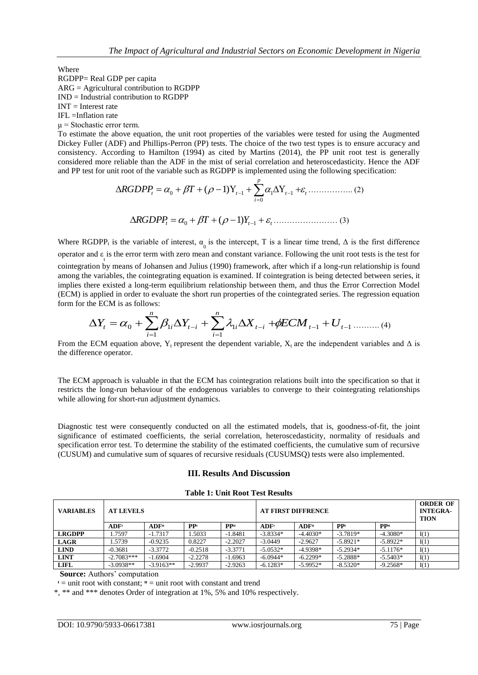Where

RGDPP= Real GDP per capita

ARG = Agricultural contribution to RGDPP IND = Industrial contribution to RGDPP

 $INT = Interest rate$ 

IFL =Inflation rate

 $\mu$  = Stochastic error term.

To estimate the above equation, the unit root properties of the variables were tested for using the Augmented Dickey Fuller (ADF) and Phillips-Perron (PP) tests. The choice of the two test types is to ensure accuracy and consistency. According to Hamilton (1994) as cited by Martins (2014), the PP unit root test is generally considered more reliable than the ADF in the mist of serial correlation and heteroscedasticity. Hence the ADF and PP test for unit root of the variable such as RGDPP is implemented using the following specification:

$$
\Delta RGDPP_t = \alpha_0 + \beta T + (\rho - 1)Y_{t-1} + \sum_{i=0}^{p} \alpha_i \Delta Y_{t-1} + \varepsilon_t \dots \dots \dots \dots \dots (2)
$$
  

$$
\Delta RGDPP_t = \alpha_0 + \beta T + (\rho - 1)Y_{t-1} + \varepsilon_t \dots \dots \dots \dots \dots (3)
$$

Where RGDPP<sub>t</sub> is the variable of interest,  $\alpha_0$  is the intercept, T is a linear time trend,  $\Delta$  is the first difference operator and  $\varepsilon$  is the error term with zero mean and constant variance. Following the unit root tests is the test for cointegration by means of Johansen and Julius (1990) framework, after which if a long-run relationship is found among the variables, the cointegrating equation is examined. If cointegration is being detected between series, it implies there existed a long-term equilibrium relationship between them, and thus the Error Correction Model (ECM) is applied in order to evaluate the short run properties of the cointegrated series. The regression equation form for the ECM is as follows:

$$
\Delta Y_{t} = \alpha_{0} + \sum_{i=1}^{n} \beta_{1i} \Delta Y_{t-i} + \sum_{i=1}^{n} \lambda_{1i} \Delta X_{t-i} + \phi ECM_{t-1} + U_{t-1} \dots \dots \dots (4)
$$

From the ECM equation above, Y<sub>t</sub> represent the dependent variable, X<sub>t</sub> are the independent variables and  $\Delta$  is the difference operator.

The ECM approach is valuable in that the ECM has cointegration relations built into the specification so that it restricts the long-run behaviour of the endogenous variables to converge to their cointegrating relationships while allowing for short-run adjustment dynamics.

Diagnostic test were consequently conducted on all the estimated models, that is, goodness-of-fit, the joint significance of estimated coefficients, the serial correlation, heteroscedasticity, normality of residuals and specification error test. To determine the stability of the estimated coefficients, the cumulative sum of recursive (CUSUM) and cumulative sum of squares of recursive residuals (CUSUMSQ) tests were also implemented.

#### **III. Results And Discussion**

#### **Table 1: Unit Root Test Results**

| <b>VARIABLES</b> | <b>AT LEVELS</b> |                  |                 |                 | <b>AT FIRST DIFFRENCE</b> |                   |                 |                 | <b>ORDER OF</b><br><b>INTEGRA-</b><br><b>TION</b> |
|------------------|------------------|------------------|-----------------|-----------------|---------------------------|-------------------|-----------------|-----------------|---------------------------------------------------|
|                  | ADF <sup>T</sup> | ADF <sup>H</sup> | PP <sub>i</sub> | PP <sup>H</sup> | <b>ADF</b>                | ADF <sup>II</sup> | PP <sub>t</sub> | PP <sup>H</sup> |                                                   |
| <b>LRGDPP</b>    | 1.7597           | $-1.7317$        | .5033           | $-1.8481$       | $-3.8334*$                | $-4.4030*$        | $-3.7819*$      | $-4.3080*$      | I(1)                                              |
| <b>LAGR</b>      | 1.5739           | $-0.9235$        | 0.8227          | $-2.2027$       | $-3.0449$                 | $-2.9627$         | $-5.8921*$      | $-5.8922*$      | I(1)                                              |
| <b>LIND</b>      | $-0.3681$        | $-3.3772$        | $-0.2518$       | $-3.3771$       | $-5.0532*$                | $-4.9398*$        | $-5.2934*$      | $-5.1176*$      | I(1)                                              |
| <b>LINT</b>      | $-2.7083***$     | $-1.6904$        | $-2.2278$       | $-1.6963$       | $-6.0944*$                | $-6.2299*$        | $-5.2888*$      | $-5.5403*$      | I(1)                                              |
| <b>LIFL</b>      | $-3.0938**$      | $-3.9163**$      | $-2.9937$       | $-2.9263$       | $-6.1283*$                | $-5.9952*$        | $-8.5320*$      | $-9.2568*$      | I(1)                                              |

**Source:** Authors' computation

 $\mathbf{I} =$  unit root with constant;  $\mathbf{I} =$  unit root with constant and trend

\*, \*\* and \*\*\* denotes Order of integration at 1%, 5% and 10% respectively.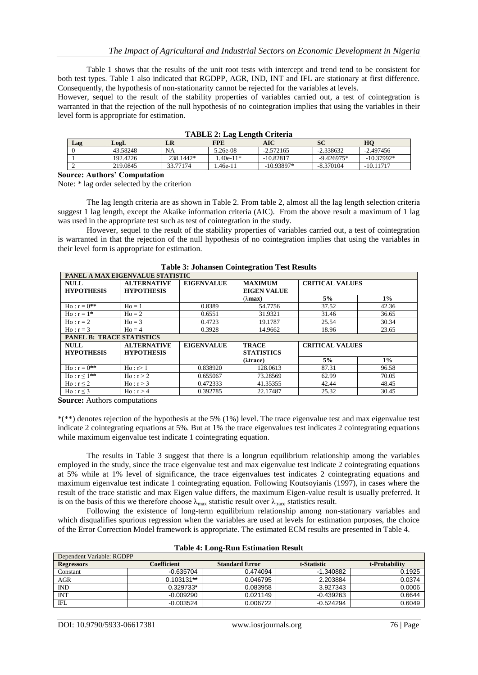Table 1 shows that the results of the unit root tests with intercept and trend tend to be consistent for both test types. Table 1 also indicated that RGDPP, AGR, IND, INT and IFL are stationary at first difference. Consequently, the hypothesis of non-stationarity cannot be rejected for the variables at levels.

However, sequel to the result of the stability properties of variables carried out, a test of cointegration is warranted in that the rejection of the null hypothesis of no cointegration implies that using the variables in their level form is appropriate for estimation.

| $-2.338632$<br>43.58248<br><b>NA</b><br>5.26e-08<br>$-2.572165$    | $-2.497456$  |
|--------------------------------------------------------------------|--------------|
|                                                                    |              |
| 238.1442*<br>192.4226<br>$.40e-11*$<br>$-10.82817$<br>$-9.426975*$ | $-10.37992*$ |
| -10.93897*<br>33.77174<br>219.0845<br>$-8.370104$<br>.46e-11       | $-10.11717$  |

| <b>TABLE 2: Lag Length Criteria</b> |  |
|-------------------------------------|--|
|                                     |  |

**Source: Authors' Computation**

Note: \* lag order selected by the criterion

The lag length criteria are as shown in Table 2. From table 2, almost all the lag length selection criteria suggest 1 lag length, except the Akaike information criteria (AIC). From the above result a maximum of 1 lag was used in the appropriate test such as test of cointegration in the study.

However, sequel to the result of the stability properties of variables carried out, a test of cointegration is warranted in that the rejection of the null hypothesis of no cointegration implies that using the variables in their level form is appropriate for estimation.

| PANEL A MAX EIGENVALUE STATISTIC |                                         |                   |                                      |                        |       |  |  |  |
|----------------------------------|-----------------------------------------|-------------------|--------------------------------------|------------------------|-------|--|--|--|
| <b>NULL</b><br><b>HYPOTHESIS</b> | <b>ALTERNATIVE</b><br><b>HYPOTHESIS</b> | <b>EIGENVALUE</b> | <b>MAXIMUM</b><br><b>EIGEN VALUE</b> | <b>CRITICAL VALUES</b> |       |  |  |  |
|                                  |                                         |                   | (λ <b>max)</b>                       | 5%                     | $1\%$ |  |  |  |
| $Ho: r = 0^{**}$                 | $Ho = 1$                                | 0.8389            | 54.7756                              | 37.52                  | 42.36 |  |  |  |
| $H_0: r = 1*$                    | $Ho = 2$                                | 0.6551            | 31.9321                              | 31.46                  | 36.65 |  |  |  |
| $Ho: r = 2$                      | $Ho = 3$                                | 0.4723            | 19.1787                              | 25.54                  | 30.34 |  |  |  |
| $Ho: r = 3$                      | $H_0 = 4$                               | 0.3928            | 14.9662                              | 18.96                  | 23.65 |  |  |  |
|                                  | <b>PANEL B: TRACE STATISTICS</b>        |                   |                                      |                        |       |  |  |  |
| <b>NULL</b><br><b>HYPOTHESIS</b> | <b>ALTERNATIVE</b><br><b>HYPOTHESIS</b> | <b>EIGENVALUE</b> | <b>TRACE</b><br><b>STATISTICS</b>    | <b>CRITICAL VALUES</b> |       |  |  |  |
|                                  |                                         |                   | ( <i>Atrace</i> )                    | 5%                     | $1\%$ |  |  |  |
| $H_0: r = 0^{**}$                | Ho: r > 1                               | 0.838920          | 128.0613                             | 87.31                  | 96.58 |  |  |  |
| $Ho: r \le 1**$                  | Ho: r > 2                               | 0.655067          | 73.28569                             | 62.99                  | 70.05 |  |  |  |
| $Ho: r \leq 2$                   | Ho: r > 3                               | 0.472333          | 41.35355                             | 42.44                  | 48.45 |  |  |  |
| Ho: r < 3                        | Ho: r > 4                               | 0.392785          | 22.17487                             | 25.32                  | 30.45 |  |  |  |

**Table 3: Johansen Cointegration Test Results**

**Source:** Authors computations

\*(\*\*) denotes rejection of the hypothesis at the 5% (1%) level. The trace eigenvalue test and max eigenvalue test indicate 2 cointegrating equations at 5%. But at 1% the trace eigenvalues test indicates 2 cointegrating equations while maximum eigenvalue test indicate 1 cointegrating equation.

The results in Table 3 suggest that there is a longrun equilibrium relationship among the variables employed in the study, since the trace eigenvalue test and max eigenvalue test indicate 2 cointegrating equations at 5% while at 1% level of significance, the trace eigenvalues test indicates 2 cointegrating equations and maximum eigenvalue test indicate 1 cointegrating equation. Following Koutsoyianis (1997), in cases where the result of the trace statistic and max Eigen value differs, the maximum Eigen-value result is usually preferred. It is on the basis of this we therefore choose  $\lambda_{\text{max}}$  statistic result over  $\lambda_{\text{trace}}$  statistics result.

Following the existence of long-term equilibrium relationship among non-stationary variables and which disqualifies spurious regression when the variables are used at levels for estimation purposes, the choice of the Error Correction Model framework is appropriate. The estimated ECM results are presented in Table 4.

| Dependent Variable: RGDPP |              |                       |             |               |  |  |  |
|---------------------------|--------------|-----------------------|-------------|---------------|--|--|--|
| <b>Regressors</b>         | Coefficient  | <b>Standard Error</b> | t-Statistic | t-Probability |  |  |  |
| Constant                  | $-0.635704$  | 0.474094              | $-1.340882$ | 0.1925        |  |  |  |
| AGR                       | $0.103131**$ | 0.046795              | 2.203884    | 0.0374        |  |  |  |
| IND                       | 0.329733*    | 0.083958              | 3.927343    | 0.0006        |  |  |  |
| <b>INT</b>                | $-0.009290$  | 0.021149              | $-0.439263$ | 0.6644        |  |  |  |
| IFL                       | $-0.003524$  | 0.006722              | $-0.524294$ | 0.6049        |  |  |  |

|  | <b>Table 4: Long-Run Estimation Result</b> |  |
|--|--------------------------------------------|--|
|  |                                            |  |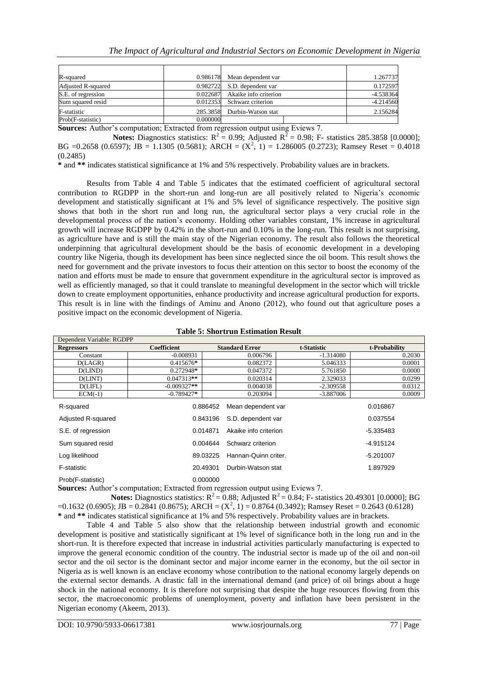| R-squared                 |          | 0.986178 Mean dependent var    | 1.267737    |
|---------------------------|----------|--------------------------------|-------------|
| <b>Adjusted R-squared</b> |          | 0.982722 S.D. dependent var    | 0.172597    |
| S.E. of regression        |          | 0.022687 Akaike info criterion | $-4.538364$ |
| Sum squared resid         | 0.012353 | Schwarz criterion              | $-4.214560$ |
| F-statistic               |          | 285.3858 Durbin-Watson stat    | 2.156284    |
| Prob(F-statistic)         | 0.000000 |                                |             |

**Sources:** Author's computation; Extracted from regression output using Eviews 7.

**Notes:** Diagnostics statistics:  $R^2 = 0.99$ ; Adjusted  $R^2 = 0.98$ ; F- statistics 285.3858 [0.0000]; BG =0.2658 (0.6597); JB = 1.1305 (0.5681); ARCH =  $(X^2, 1)$  = 1.286005 (0.2723); Ramsey Reset = 0.4018 (0.2485)

**\*** and **\*\*** indicates statistical significance at 1% and 5% respectively. Probability values are in brackets.

Results from Table 4 and Table 5 indicates that the estimated coefficient of agricultural sectoral contribution to RGDPP in the short-run and long-run are all positively related to Nigeria's economic development and statistically significant at 1% and 5% level of significance respectively. The positive sign shows that both in the short run and long run, the agricultural sector plays a very crucial role in the developmental process of the nation's economy. Holding other variables constant, 1% increase in agricultural growth will increase RGDPP by 0.42% in the short-run and 0.10% in the long-run. This result is not surprising, as agriculture have and is still the main stay of the Nigerian economy. The result also follows the theoretical underpinning that agricultural development should be the basis of economic development in a developing country like Nigeria, though its development has been since neglected since the oil boom. This result shows the need for government and the private investors to focus their attention on this sector to boost the economy of the nation and efforts must be made to ensure that government expenditure in the agricultural sector is improved as well as efficiently managed, so that it could translate to meaningful development in the sector which will trickle down to create employment opportunities, enhance productivity and increase agricultural production for exports. This result is in line with the findings of Aminu and Anono (2012), who found out that agriculture poses a positive impact on the economic development of Nigeria.

| Dependent Variable: RGDPP |                    |          |                       |             |               |        |
|---------------------------|--------------------|----------|-----------------------|-------------|---------------|--------|
| <b>Regressors</b>         | <b>Coefficient</b> |          | <b>Standard Error</b> | t-Statistic | t-Probability |        |
| Constant                  | $-0.008931$        |          | 0.006796              | $-1.314080$ |               | 0.2030 |
| D(LAGR)                   | 0.415676*          |          | 0.082372              | 5.046333    |               | 0.0001 |
| D(LIND)                   | 0.272948*          |          | 0.047372              | 5.761850    |               | 0.0000 |
| D(LINT)                   | $0.047313**$       |          | 0.020314              | 2.329033    |               | 0.0299 |
| D(LIFL)                   | $-0.009327**$      |          | 0.004038              | $-2.309558$ |               | 0.0312 |
| $ECM(-1)$                 | $-0.789427*$       |          | 0.203094              | $-3.887006$ |               | 0.0009 |
| R-squared                 |                    | 0.886452 | Mean dependent var    |             | 0.016867      |        |
| Adjusted R-squared        |                    | 0.843196 | S.D. dependent var    |             | 0.037554      |        |
| S.E. of regression        |                    | 0.014871 | Akaike info criterion |             | $-5.335483$   |        |
| Sum squared resid         |                    | 0.004644 | Schwarz criterion     |             | $-4.915124$   |        |
| Log likelihood            |                    | 89.03225 | Hannan-Quinn criter.  |             | $-5.201007$   |        |
| F-statistic               |                    | 20.49301 | Durbin-Watson stat    |             | 1.897929      |        |
| Prob(F-statistic)         |                    | 0.000000 |                       |             |               |        |

#### **Table 5: Shortrun Estimation Result**

**Sources:** Author's computation; Extracted from regression output using Eviews 7. **Notes:** Diagnostics statistics:  $R^2 = 0.88$ ; Adjusted  $R^2 = 0.84$ ; F- statistics 20.49301 [0.0000]; BG  $=0.1632(0.6905)$ ; JB = 0.2841 (0.8675); ARCH = (X<sup>2</sup>, 1) = 0.8764 (0.3492); Ramsey Reset = 0.2643 (0.6128)

**\*** and **\*\*** indicates statistical significance at 1% and 5% respectively. Probability values are in brackets. Table 4 and Table 5 also show that the relationship between industrial growth and economic development is positive and statistically significant at 1% level of significance both in the long run and in the short-run. It is therefore expected that increase in industrial activities particularly manufacturing is expected to improve the general economic condition of the country. The industrial sector is made up of the oil and non-oil sector and the oil sector is the dominant sector and major income earner in the economy, but the oil sector in Nigeria as is well known is an enclave economy whose contribution to the national economy largely depends on the external sector demands. A drastic fall in the international demand (and price) of oil brings about a huge shock in the national economy. It is therefore not surprising that despite the huge resources flowing from this sector, the macroeconomic problems of unemployment, poverty and inflation have been persistent in the Nigerian economy (Akeem, 2013).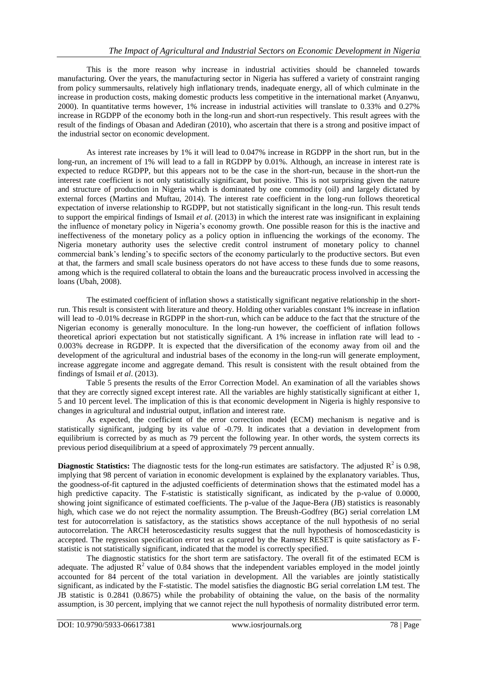This is the more reason why increase in industrial activities should be channeled towards manufacturing. Over the years, the manufacturing sector in Nigeria has suffered a variety of constraint ranging from policy summersaults, relatively high inflationary trends, inadequate energy, all of which culminate in the increase in production costs, making domestic products less competitive in the international market (Anyanwu, 2000). In quantitative terms however, 1% increase in industrial activities will translate to 0.33% and 0.27% increase in RGDPP of the economy both in the long-run and short-run respectively. This result agrees with the result of the findings of Obasan and Adediran (2010), who ascertain that there is a strong and positive impact of the industrial sector on economic development.

As interest rate increases by 1% it will lead to 0.047% increase in RGDPP in the short run, but in the long-run, an increment of 1% will lead to a fall in RGDPP by 0.01%. Although, an increase in interest rate is expected to reduce RGDPP, but this appears not to be the case in the short-run, because in the short-run the interest rate coefficient is not only statistically significant, but positive. This is not surprising given the nature and structure of production in Nigeria which is dominated by one commodity (oil) and largely dictated by external forces (Martins and Muftau, 2014). The interest rate coefficient in the long-run follows theoretical expectation of inverse relationship to RGDPP, but not statistically significant in the long-run. This result tends to support the empirical findings of Ismail *et al*. (2013) in which the interest rate was insignificant in explaining the influence of monetary policy in Nigeria's economy growth. One possible reason for this is the inactive and ineffectiveness of the monetary policy as a policy option in influencing the workings of the economy. The Nigeria monetary authority uses the selective credit control instrument of monetary policy to channel commercial bank's lending's to specific sectors of the economy particularly to the productive sectors. But even at that, the farmers and small scale business operators do not have access to these funds due to some reasons, among which is the required collateral to obtain the loans and the bureaucratic process involved in accessing the loans (Ubah, 2008).

The estimated coefficient of inflation shows a statistically significant negative relationship in the shortrun. This result is consistent with literature and theory. Holding other variables constant 1% increase in inflation will lead to -0.01% decrease in RGDPP in the short-run, which can be adduce to the fact that the structure of the Nigerian economy is generally monoculture. In the long-run however, the coefficient of inflation follows theoretical apriori expectation but not statistically significant. A 1% increase in inflation rate will lead to - 0.003% decrease in RGDPP. It is expected that the diversification of the economy away from oil and the development of the agricultural and industrial bases of the economy in the long-run will generate employment, increase aggregate income and aggregate demand. This result is consistent with the result obtained from the findings of Ismail *et al*. (2013).

Table 5 presents the results of the Error Correction Model. An examination of all the variables shows that they are correctly signed except interest rate. All the variables are highly statistically significant at either 1, 5 and 10 percent level. The implication of this is that economic development in Nigeria is highly responsive to changes in agricultural and industrial output, inflation and interest rate.

As expected, the coefficient of the error correction model (ECM) mechanism is negative and is statistically significant, judging by its value of -0.79. It indicates that a deviation in development from equilibrium is corrected by as much as 79 percent the following year. In other words, the system corrects its previous period disequilibrium at a speed of approximately 79 percent annually.

**Diagnostic Statistics:** The diagnostic tests for the long-run estimates are satisfactory. The adjusted  $R^2$  is 0.98, implying that 98 percent of variation in economic development is explained by the explanatory variables. Thus, the goodness-of-fit captured in the adjusted coefficients of determination shows that the estimated model has a high predictive capacity. The F-statistic is statistically significant, as indicated by the p-value of 0.0000, showing joint significance of estimated coefficients. The p-value of the Jaque-Bera (JB) statistics is reasonably high, which case we do not reject the normality assumption. The Breush-Godfrey (BG) serial correlation LM test for autocorrelation is satisfactory, as the statistics shows acceptance of the null hypothesis of no serial autocorrelation. The ARCH heteroscedasticity results suggest that the null hypothesis of homoscedasticity is accepted. The regression specification error test as captured by the Ramsey RESET is quite satisfactory as Fstatistic is not statistically significant, indicated that the model is correctly specified.

The diagnostic statistics for the short term are satisfactory. The overall fit of the estimated ECM is adequate. The adjusted  $R^2$  value of 0.84 shows that the independent variables employed in the model jointly accounted for 84 percent of the total variation in development. All the variables are jointly statistically significant, as indicated by the F-statistic. The model satisfies the diagnostic BG serial correlation LM test. The JB statistic is 0.2841 (0.8675) while the probability of obtaining the value, on the basis of the normality assumption, is 30 percent, implying that we cannot reject the null hypothesis of normality distributed error term.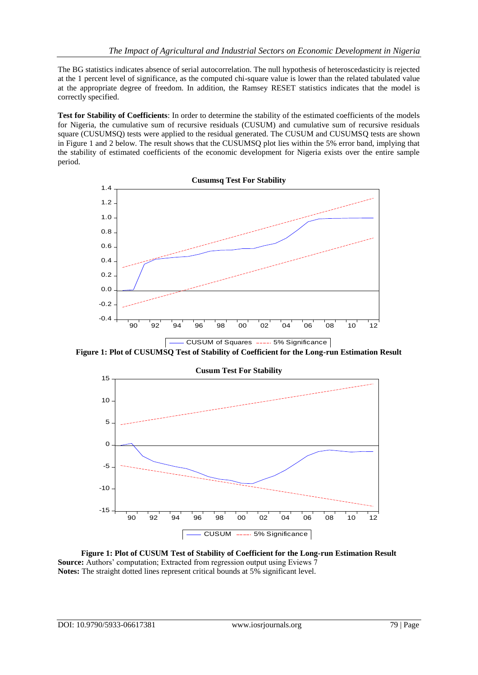The BG statistics indicates absence of serial autocorrelation. The null hypothesis of heteroscedasticity is rejected at the 1 percent level of significance, as the computed chi-square value is lower than the related tabulated value at the appropriate degree of freedom. In addition, the Ramsey RESET statistics indicates that the model is correctly specified.

**Test for Stability of Coefficients**: In order to determine the stability of the estimated coefficients of the models for Nigeria, the cumulative sum of recursive residuals (CUSUM) and cumulative sum of recursive residuals square (CUSUMSQ) tests were applied to the residual generated. The CUSUM and CUSUMSQ tests are shown in Figure 1 and 2 below. The result shows that the CUSUMSQ plot lies within the 5% error band, implying that the stability of estimated coefficients of the economic development for Nigeria exists over the entire sample period.



**Figure 1: Plot of CUSUMSQ Test of Stability of Coefficient for the Long-run Estimation Result**



**Figure 1: Plot of CUSUM Test of Stability of Coefficient for the Long-run Estimation Result Source:** Authors' computation; Extracted from regression output using Eviews 7 **Notes:** The straight dotted lines represent critical bounds at 5% significant level.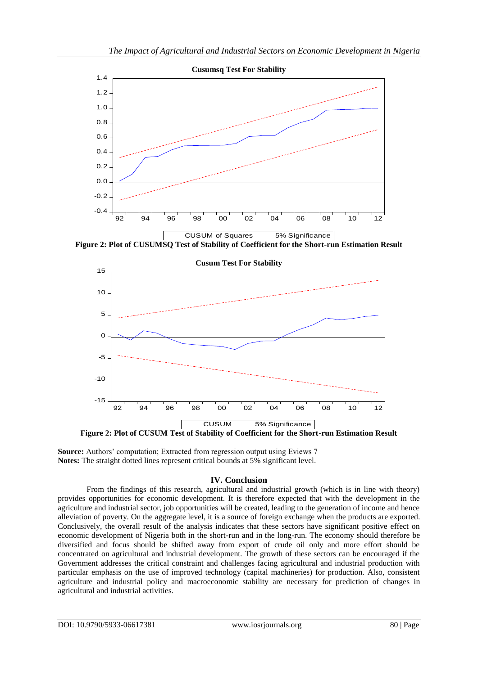

**Figure 2: Plot of CUSUMSQ Test of Stability of Coefficient for the Short-run Estimation Result**



**Source:** Authors' computation; Extracted from regression output using Eviews 7 **Notes:** The straight dotted lines represent critical bounds at 5% significant level.

# **IV. Conclusion**

From the findings of this research, agricultural and industrial growth (which is in line with theory) provides opportunities for economic development. It is therefore expected that with the development in the agriculture and industrial sector, job opportunities will be created, leading to the generation of income and hence alleviation of poverty. On the aggregate level, it is a source of foreign exchange when the products are exported. Conclusively, the overall result of the analysis indicates that these sectors have significant positive effect on economic development of Nigeria both in the short-run and in the long-run. The economy should therefore be diversified and focus should be shifted away from export of crude oil only and more effort should be concentrated on agricultural and industrial development. The growth of these sectors can be encouraged if the Government addresses the critical constraint and challenges facing agricultural and industrial production with particular emphasis on the use of improved technology (capital machineries) for production. Also, consistent agriculture and industrial policy and macroeconomic stability are necessary for prediction of changes in agricultural and industrial activities.